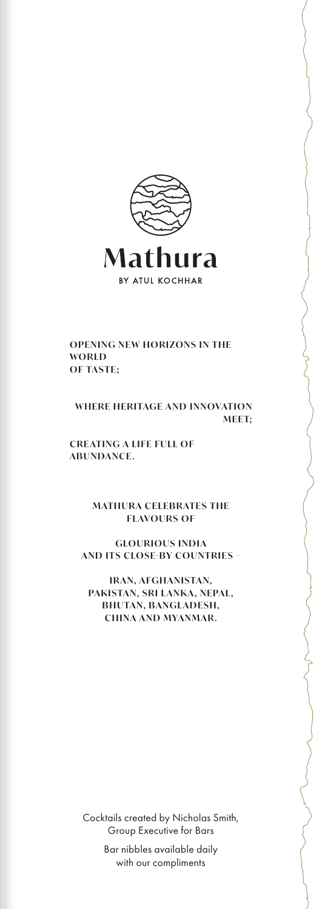

#### **OPENING NEW HORIZONS IN THE WORLD OF TASTE;**

### **WHERE HERITAGE AND INNOVATION MEET;**

**CREATING A LIFE FULL OF ABUNDANCE.**

> **MATHURA CELEBRATES THE FLAVOURS OF**

**GLOURIOUS INDIA AND ITS CLOSE-BY COUNTRIES -**

**IRAN, AFGHANISTAN,** PAKISTAN, SRI LANKA, NEPAL, **BHUTAN, BANGLADESH, CHINA AND MYANMAR.**

Cocktails created by Nicholas Smith, Group Executive for Bars

> Bar nibbles available daily with our compliments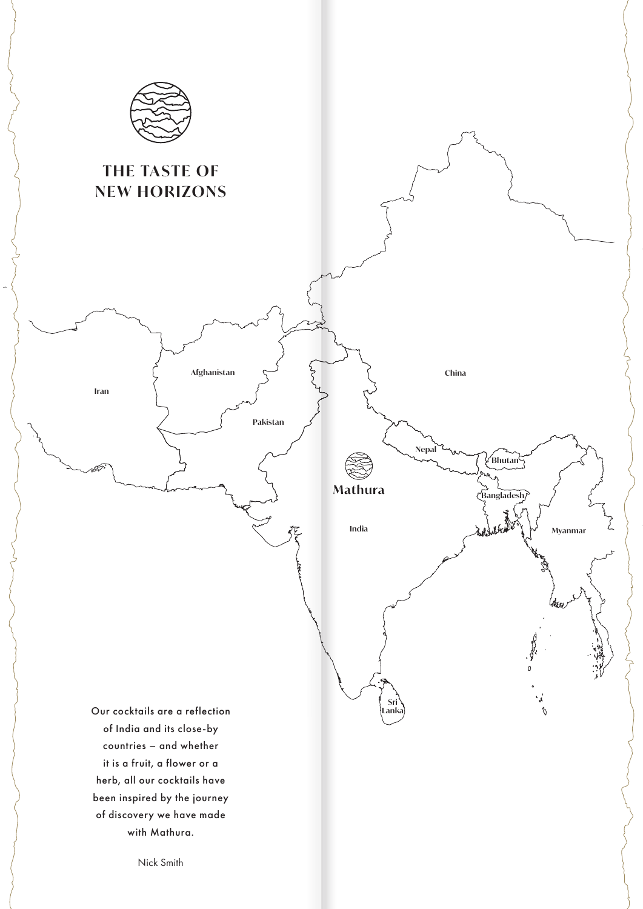

# **THE TASTE OF NEW HORIZONS**

**Iran**

**Afghanistan**

**Pakistan**

**Nepal**

Mathura

**China**

**Sri Lanka** ∕**Bhutan** $\frac{2}{3}$ 

**Bangladesh**

ູ<br>ຈ

ξ

India  $\lambda \neq \lambda$ 

Our cocktails are a reflection of India and its close-by countries – and whether it is a fruit, a flower or a herb, all our cocktails have been inspired by the journey of discovery we have made with Mathura.

Nick Smith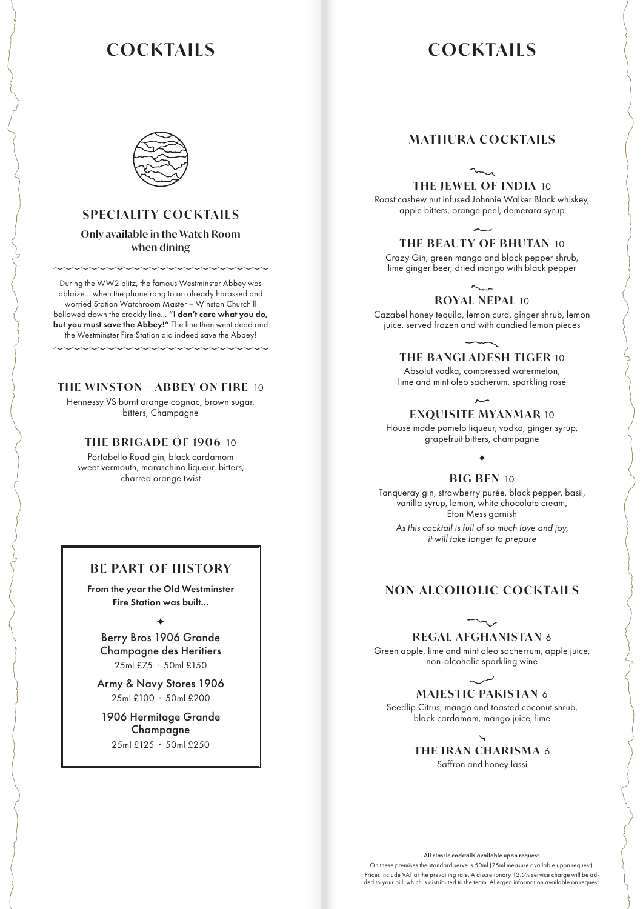# **COCKTAILS COCKTAILS**



## **SPECIALITY COCKTAILS**

**Only available in the Watch Room when dining**

During the WW2 blitz, the famous Westminster Abbey was ablaize... when the phone rang to an already harassed and worried Station Watchroom Master – Winston Churchill bellowed down the crackly line... "I don't care what you do, but you must save the Abbey!" The line then went dead and the Westminster Fire Station did indeed save the Abbey!

### **THE WINSTON – ABBEY ON FIRE** 10

Hennessy VS burnt orange cognac, brown sugar, bitters, Champagne

### **THE BRIGADE OF 1906** 10

Portobello Road gin, black cardamom sweet vermouth, maraschino liqueur, bitters, charred orange twist

## **BE PART OF HISTORY**

From the year the Old Westminster Fire Station was built...

 $\color{blue}\bigstar$ 

Berry Bros 1906 Grande Champagne des Heritiers 25ml £75 · 50ml £150

Army & Navy Stores 1906 25ml £100 · 50ml £200

1906 Hermitage Grande Champagne 25ml £125 · 50ml £250

# **MATHURA COCKTAILS**

**THE JEWEL OF INDIA** 10

Roast cashew nut infused Johnnie Walker Black whiskey, apple bitters, orange peel, demerara syrup

# **THE BEAUTY OF BHUTAN** 10

Crazy Gin, green mango and black pepper shrub, lime ginger beer, dried mango with black pepper

# **ROYAL NEPAL** 10

Cazabel honey tequila, lemon curd, ginger shrub, lemon juice, served frozen and with candied lemon pieces

**THE BANGLADESH TIGER** 10

Absolut vodka, compressed watermelon, lime and mint oleo sacherum, sparkling rosé

**EXQUISITE MYANMAR** 10

House made pomelo liqueur, vodka, ginger syrup, grapefruit bitters, champagne

#### $\bigstar$

**BIG BEN** 10

Tanqueray gin, strawberry purée, black pepper, basil, vanilla syrup, lemon, white chocolate cream, Eton Mess garnish *As this cocktail is full of so much love and joy, it will take longer to prepare*

### **NON-ALCOHOLIC COCKTAILS**

**REGAL AFGHANISTAN** 6

Green apple, lime and mint oleo sacherrum, apple juice, non-alcoholic sparkling wine

# **MAJESTIC PAKISTAN** 6

Seedlip Citrus, mango and toasted coconut shrub, black cardamom, mango juice, lime

> **THE IRAN CHARISMA** 6 Saffron and honey lassi

All classic cocktails available upon request.

On these premises the standard serve is 50ml (25ml measure available upon request). Prices include VAT at the prevailing rate. A discretionary 12.5% service charge will be ad-ded to your bill, which is distributed to the team. Allergen information available on request.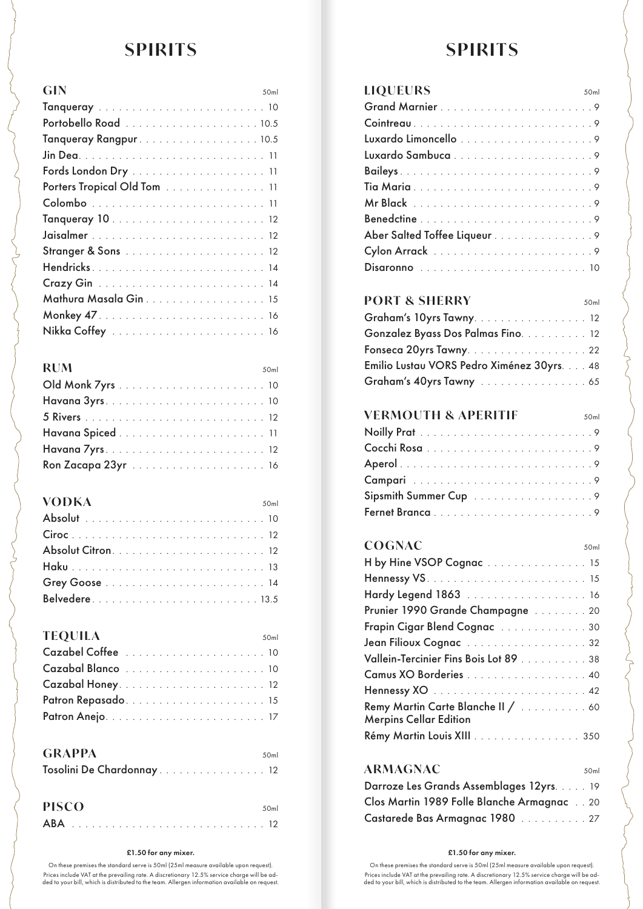# **SPIRITS SPIRITS**

| <b>GIN</b><br>50ml          |
|-----------------------------|
|                             |
|                             |
| Tanqueray Rangpur. 10.5     |
|                             |
|                             |
| Porters Tropical Old Tom 11 |
|                             |
|                             |
|                             |
|                             |
| Hendricks14                 |
|                             |
| Mathura Masala Gin 15       |
|                             |
|                             |

| <b>RUM</b> |  |  |  |  |  |  |  |  |  |  | 50 <sub>ml</sub> |
|------------|--|--|--|--|--|--|--|--|--|--|------------------|
|            |  |  |  |  |  |  |  |  |  |  |                  |
|            |  |  |  |  |  |  |  |  |  |  |                  |
|            |  |  |  |  |  |  |  |  |  |  |                  |
|            |  |  |  |  |  |  |  |  |  |  |                  |
|            |  |  |  |  |  |  |  |  |  |  |                  |
|            |  |  |  |  |  |  |  |  |  |  |                  |

| <b>VODKA</b> |  |  |  |  |  |  |  |  |  |  | 50ml |
|--------------|--|--|--|--|--|--|--|--|--|--|------|
|              |  |  |  |  |  |  |  |  |  |  |      |
|              |  |  |  |  |  |  |  |  |  |  |      |
|              |  |  |  |  |  |  |  |  |  |  |      |
|              |  |  |  |  |  |  |  |  |  |  |      |
|              |  |  |  |  |  |  |  |  |  |  |      |
|              |  |  |  |  |  |  |  |  |  |  |      |

| <b>TEQUILA</b> |  |  |  |  |  |  |  |  |  |  | 50ml |
|----------------|--|--|--|--|--|--|--|--|--|--|------|
|                |  |  |  |  |  |  |  |  |  |  |      |
|                |  |  |  |  |  |  |  |  |  |  |      |
|                |  |  |  |  |  |  |  |  |  |  |      |
|                |  |  |  |  |  |  |  |  |  |  |      |
|                |  |  |  |  |  |  |  |  |  |  |      |

| <b>GRAPPA</b>             | 50 <sub>ml</sub> |  |
|---------------------------|------------------|--|
| Tosolini De Chardonnay 12 |                  |  |

| <b>PISCO</b> | 50 <sub>m</sub> |
|--------------|-----------------|
|              |                 |

#### £1.50 for any mixer. £1.50 for any mixer.

On these premises the standard serve is 50ml (25ml measure available upon request). Prices include VAT at the prevailing rate. A discretionary 12.5% service charge will be ad-ded to your bill, which is distributed to the team. Allergen information available on request.

| <b>LIQUEURS</b><br>50 <sub>ml</sub> |  |
|-------------------------------------|--|
|                                     |  |
|                                     |  |
|                                     |  |
|                                     |  |
|                                     |  |
|                                     |  |
|                                     |  |
|                                     |  |
| Aber Salted Toffee Liqueur 9        |  |
|                                     |  |
|                                     |  |

## **PORT & SHERRY** 50ml

| Graham's 10yrs Tawny. 12                   |  |
|--------------------------------------------|--|
| Gonzalez Byass Dos Palmas Fino. 12         |  |
| Fonseca 20yrs Tawny. 22                    |  |
| Emilio Lustau VORS Pedro Ximénez 30yrs. 48 |  |
| Graham's 40yrs Tawny 65                    |  |

## **VERMOUTH & APERITIF** 50ml

## COGNAC<sub>50ml</sub>

| H by Hine VSOP Cognac 15                                            |
|---------------------------------------------------------------------|
|                                                                     |
| Hardy Legend 1863 16                                                |
| Prunier 1990 Grande Champagne 20                                    |
| Frapin Cigar Blend Cognac 30                                        |
| Jean Filioux Cognac 32                                              |
| Vallein-Tercinier Fins Bois Lot 89 38                               |
| Camus XO Borderies 40                                               |
|                                                                     |
| Remy Martin Carte Blanche II /  60<br><b>Merpins Cellar Edition</b> |
| Rémy Martin Louis XIII 350                                          |

# **ARMAGNAC** 50ml

| Darroze Les Grands Assemblages 12yrs. 19   |  |
|--------------------------------------------|--|
| Clos Martin 1989 Folle Blanche Armagnac 20 |  |
| Castarede Bas Armagnac 1980 27             |  |

On these premises the standard serve is 50ml (25ml measure available upon request). Prices include VAT at the prevailing rate. A discretionary 12.5% service charge will be ad-ded to your bill, which is distributed to the team. Allergen information available on request.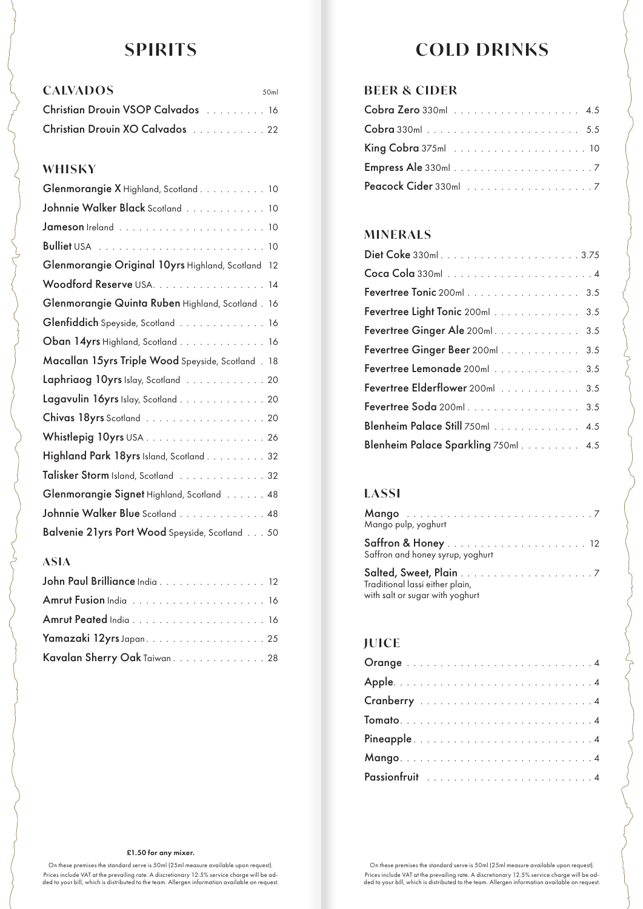| <b>CALVADOS</b>                   | 50 <sub>ml</sub> |
|-----------------------------------|------------------|
| Christian Drouin VSOP Calvados 16 |                  |
| Christian Drouin XO Calvados 22   |                  |

# **WHISKY**

| Glenmorangie X Highland, Scotland 10               |
|----------------------------------------------------|
| Johnnie Walker Black Scotland 10                   |
|                                                    |
|                                                    |
| Glenmorangie Original 10yrs Highland, Scotland 12  |
| Woodford Reserve USA. 14                           |
| Glenmorangie Quinta Ruben Highland, Scotland. 16   |
| Glenfiddich Speyside, Scotland 16                  |
| Oban 14yrs Highland, Scotland 16                   |
| Macallan 15yrs Triple Wood Speyside, Scotland . 18 |
| Laphriaog 10yrs Islay, Scotland 20                 |
| Lagavulin 16yrs Islay, Scotland 20                 |
| Chivas 18yrs Scotland 20                           |
|                                                    |
| Highland Park 18yrs Island, Scotland. 32           |
| Talisker Storm Island, Scotland 32                 |
| Glenmorangie Signet Highland, Scotland 48          |
| Johnnie Walker Blue Scotland 48                    |
| Balvenie 21yrs Port Wood Speyside, Scotland 50     |
|                                                    |

# **ASIA**

| John Paul Brilliance India 12 |
|-------------------------------|
|                               |
|                               |
|                               |
| Kavalan Sherry Oak Taiwan. 28 |

# **SPIRITS COLD DRINKS**

# **BEER & CIDER**

# **MINERALS**

| Fevertree Tonic 200ml 3.5           |
|-------------------------------------|
| Fevertree Light Tonic 200ml 3.5     |
| Fevertree Ginger Ale 200ml. 3.5     |
| Fevertree Ginger Beer 200ml 3.5     |
| Fevertree Lemonade 200ml 3.5        |
| Fevertree Elderflower 200ml 3.5     |
| Fevertree Soda 200ml 3.5            |
| Blenheim Palace Still 750ml 4.5     |
| Blenheim Palace Sparkling 750ml 4.5 |

# **LASSI**

| Mango pulp, yoghurt                                                |  |
|--------------------------------------------------------------------|--|
| Saffron and honey syrup, yoghurt                                   |  |
| Traditional lassi either plain,<br>with salt or sugar with yoghurt |  |

# **JUICE**

#### £1.50 for any mixer.

On these premises the standard serve is 50ml (25ml measure available upon request). Prices include VAT at the prevailing rate. A discretionary 12.5% service charge will be ad-ded to your bill, which is distributed to the team. Allergen information available on request.

On these premises the standard serve is 50ml (25ml measure available upon request). Prices include VAT at the prevailing rate. A discretionary 12.5% service charge will be ad-ded to your bill, which is distributed to the team. Allergen information available on request.